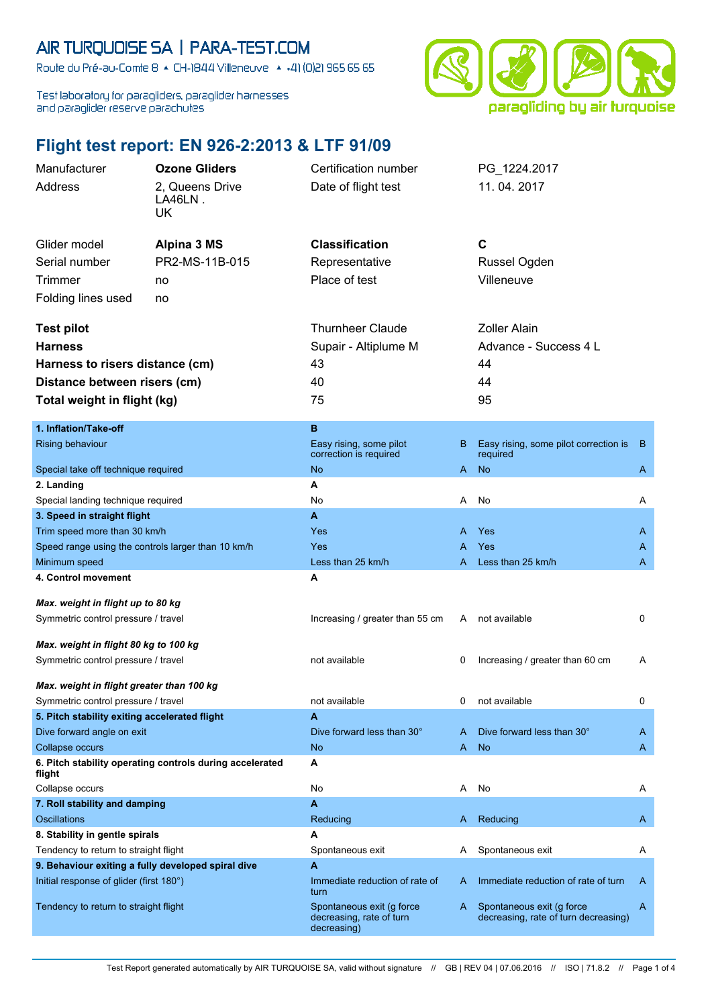## AIR TURQUOISE SA | PARA-TEST.COM

Route du Pré-au-Comte 8 & CH-1844 Villeneuve | 4 +41 (0)21 965 65 65

Test laboratory for paragliders, paraglider harnesses and paraglider reserve parachutes



## **Flight test report: EN 926-2:2013 & LTF 91/09**

| Manufacturer                                                                     | <b>Ozone Gliders</b>                                     | Certification number                                                 |    | PG_1224.2017                                                      |    |
|----------------------------------------------------------------------------------|----------------------------------------------------------|----------------------------------------------------------------------|----|-------------------------------------------------------------------|----|
| Address                                                                          | 2, Queens Drive                                          | Date of flight test                                                  |    | 11.04.2017                                                        |    |
|                                                                                  | LA46LN.                                                  |                                                                      |    |                                                                   |    |
|                                                                                  | UK                                                       |                                                                      |    |                                                                   |    |
|                                                                                  |                                                          | <b>Classification</b>                                                |    | C                                                                 |    |
| Glider model                                                                     | Alpina 3 MS                                              |                                                                      |    |                                                                   |    |
| Serial number                                                                    | PR2-MS-11B-015                                           | Representative                                                       |    | Russel Ogden                                                      |    |
| <b>Trimmer</b>                                                                   | no                                                       | Place of test                                                        |    | Villeneuve                                                        |    |
| Folding lines used                                                               | no                                                       |                                                                      |    |                                                                   |    |
|                                                                                  |                                                          | <b>Thurnheer Claude</b>                                              |    | <b>Zoller Alain</b>                                               |    |
| <b>Test pilot</b>                                                                |                                                          |                                                                      |    |                                                                   |    |
| <b>Harness</b>                                                                   |                                                          | Supair - Altiplume M                                                 |    | Advance - Success 4 L                                             |    |
| Harness to risers distance (cm)                                                  |                                                          | 43                                                                   |    | 44                                                                |    |
| Distance between risers (cm)                                                     |                                                          | 40                                                                   |    | 44                                                                |    |
| Total weight in flight (kg)                                                      |                                                          | 75                                                                   |    | 95                                                                |    |
|                                                                                  |                                                          |                                                                      |    |                                                                   |    |
| 1. Inflation/Take-off                                                            |                                                          | B                                                                    |    |                                                                   |    |
| Rising behaviour                                                                 |                                                          | Easy rising, some pilot<br>correction is required                    | B. | Easy rising, some pilot correction is<br>required                 | B. |
| Special take off technique required                                              |                                                          | No                                                                   | A. | <b>No</b>                                                         | A  |
| 2. Landing                                                                       |                                                          | A                                                                    |    |                                                                   |    |
| Special landing technique required                                               |                                                          | No                                                                   | A  | No                                                                | A  |
| 3. Speed in straight flight                                                      |                                                          | A                                                                    |    |                                                                   |    |
| Trim speed more than 30 km/h                                                     |                                                          | Yes                                                                  |    | A Yes                                                             | A  |
| Speed range using the controls larger than 10 km/h                               |                                                          | Yes                                                                  |    | Yes                                                               | A  |
| Minimum speed                                                                    |                                                          | Less than 25 km/h                                                    | A  | Less than 25 km/h                                                 | A  |
| 4. Control movement                                                              |                                                          | Α                                                                    |    |                                                                   |    |
| Max. weight in flight up to 80 kg                                                |                                                          |                                                                      |    |                                                                   |    |
|                                                                                  |                                                          | Increasing / greater than 55 cm                                      | A. | not available                                                     | 0  |
| Symmetric control pressure / travel                                              |                                                          |                                                                      |    |                                                                   |    |
| Max. weight in flight 80 kg to 100 kg                                            |                                                          |                                                                      |    |                                                                   |    |
| Symmetric control pressure / travel                                              |                                                          | not available                                                        | 0  | Increasing / greater than 60 cm                                   | A  |
|                                                                                  |                                                          |                                                                      |    |                                                                   |    |
| Max. weight in flight greater than 100 kg<br>Symmetric control pressure / travel |                                                          | not available                                                        |    | not available                                                     | 0  |
| 5. Pitch stability exiting accelerated flight                                    |                                                          | A                                                                    |    |                                                                   |    |
| Dive forward angle on exit                                                       |                                                          | Dive forward less than 30°                                           | A  | Dive forward less than 30°                                        | A  |
| Collapse occurs                                                                  |                                                          | <b>No</b>                                                            | A. | <b>No</b>                                                         | A  |
| flight                                                                           | 6. Pitch stability operating controls during accelerated | Α                                                                    |    |                                                                   |    |
| Collapse occurs                                                                  |                                                          | No                                                                   | Α  | No                                                                | Α  |
| 7. Roll stability and damping                                                    |                                                          | A                                                                    |    |                                                                   |    |
| Oscillations                                                                     |                                                          | Reducing                                                             | A. | Reducing                                                          | A  |
| 8. Stability in gentle spirals                                                   |                                                          | Α                                                                    |    |                                                                   |    |
| Tendency to return to straight flight                                            |                                                          | Spontaneous exit                                                     | A  | Spontaneous exit                                                  | A  |
| 9. Behaviour exiting a fully developed spiral dive                               |                                                          | A                                                                    |    |                                                                   |    |
| Initial response of glider (first 180°)                                          |                                                          | Immediate reduction of rate of<br>turn                               | A  | Immediate reduction of rate of turn                               | A  |
| Tendency to return to straight flight                                            |                                                          | Spontaneous exit (g force<br>decreasing, rate of turn<br>decreasing) | A  | Spontaneous exit (g force<br>decreasing, rate of turn decreasing) | A  |
|                                                                                  |                                                          |                                                                      |    |                                                                   |    |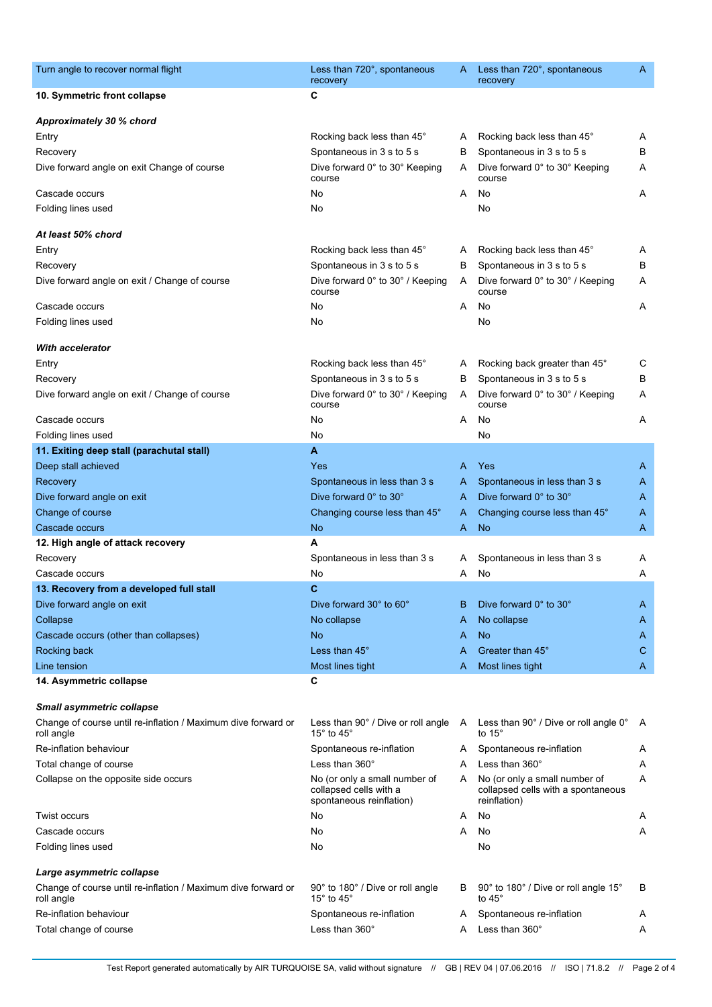| Turn angle to recover normal flight                                         | Less than 720°, spontaneous<br>recovery                                             | A | Less than 720°, spontaneous<br>recovery                                             | A |
|-----------------------------------------------------------------------------|-------------------------------------------------------------------------------------|---|-------------------------------------------------------------------------------------|---|
| 10. Symmetric front collapse                                                | С                                                                                   |   |                                                                                     |   |
| Approximately 30 % chord                                                    |                                                                                     |   |                                                                                     |   |
| Entry                                                                       | Rocking back less than 45°                                                          | A | Rocking back less than 45°                                                          | Α |
| Recovery                                                                    | Spontaneous in 3 s to 5 s                                                           | В | Spontaneous in 3 s to 5 s                                                           | В |
| Dive forward angle on exit Change of course                                 | Dive forward 0° to 30° Keeping<br>course                                            | A | Dive forward 0° to 30° Keeping<br>course                                            | Α |
| Cascade occurs                                                              | No                                                                                  | A | No                                                                                  | Α |
| Folding lines used                                                          | No                                                                                  |   | No                                                                                  |   |
| At least 50% chord                                                          |                                                                                     |   |                                                                                     |   |
| Entry                                                                       | Rocking back less than 45°                                                          | A | Rocking back less than 45°                                                          | A |
| Recovery                                                                    | Spontaneous in 3 s to 5 s                                                           | В | Spontaneous in 3 s to 5 s                                                           | В |
| Dive forward angle on exit / Change of course                               | Dive forward 0° to 30° / Keeping<br>course                                          | A | Dive forward 0° to 30° / Keeping<br>course                                          | Α |
| Cascade occurs                                                              | No                                                                                  | A | No                                                                                  | Α |
| Folding lines used                                                          | No                                                                                  |   | No                                                                                  |   |
| <b>With accelerator</b>                                                     |                                                                                     |   |                                                                                     |   |
| Entry                                                                       | Rocking back less than 45°                                                          | A | Rocking back greater than 45°                                                       | С |
| Recovery                                                                    | Spontaneous in 3 s to 5 s                                                           | В | Spontaneous in 3 s to 5 s                                                           | В |
| Dive forward angle on exit / Change of course                               | Dive forward 0° to 30° / Keeping<br>course                                          | A | Dive forward 0° to 30° / Keeping<br>course                                          | Α |
| Cascade occurs                                                              | No                                                                                  | Α | No                                                                                  | Α |
| Folding lines used                                                          | No                                                                                  |   | No                                                                                  |   |
| 11. Exiting deep stall (parachutal stall)                                   | A                                                                                   |   |                                                                                     |   |
| Deep stall achieved                                                         | Yes                                                                                 | A | Yes                                                                                 | A |
| Recovery                                                                    | Spontaneous in less than 3 s                                                        | A | Spontaneous in less than 3 s                                                        | A |
| Dive forward angle on exit                                                  | Dive forward 0° to 30°                                                              | A | Dive forward 0° to 30°                                                              | A |
| Change of course                                                            | Changing course less than 45°                                                       | A | Changing course less than 45°                                                       | A |
| Cascade occurs                                                              | No                                                                                  | A | <b>No</b>                                                                           | A |
| 12. High angle of attack recovery                                           | A                                                                                   |   |                                                                                     |   |
| Recovery                                                                    | Spontaneous in less than 3 s                                                        | A | Spontaneous in less than 3 s                                                        | Α |
| Cascade occurs                                                              | No                                                                                  | A | No                                                                                  | Α |
| 13. Recovery from a developed full stall                                    | $\mathbf{C}$                                                                        |   |                                                                                     |   |
| Dive forward angle on exit                                                  | Dive forward 30° to 60°                                                             | в | Dive forward 0° to 30°                                                              | A |
| Collapse                                                                    | No collapse                                                                         | A | No collapse                                                                         | A |
| Cascade occurs (other than collapses)                                       | No                                                                                  | A | <b>No</b>                                                                           | A |
| Rocking back                                                                | Less than 45°                                                                       | A | Greater than 45°                                                                    | C |
| Line tension                                                                | Most lines tight                                                                    | A | Most lines tight                                                                    | A |
| 14. Asymmetric collapse                                                     | C                                                                                   |   |                                                                                     |   |
|                                                                             |                                                                                     |   |                                                                                     |   |
| <b>Small asymmetric collapse</b>                                            |                                                                                     |   |                                                                                     |   |
| Change of course until re-inflation / Maximum dive forward or<br>roll angle | Less than 90° / Dive or roll angle<br>15 $^{\circ}$ to 45 $^{\circ}$                | A | Less than 90° / Dive or roll angle 0°<br>to $15^\circ$                              | A |
| Re-inflation behaviour                                                      | Spontaneous re-inflation                                                            | A | Spontaneous re-inflation                                                            | Α |
| Total change of course                                                      | Less than $360^\circ$                                                               | A | Less than 360°                                                                      | Α |
| Collapse on the opposite side occurs                                        | No (or only a small number of<br>collapsed cells with a<br>spontaneous reinflation) | A | No (or only a small number of<br>collapsed cells with a spontaneous<br>reinflation) | Α |
| <b>Twist occurs</b>                                                         | No                                                                                  | A | No                                                                                  | A |
| Cascade occurs                                                              | No                                                                                  | A | No                                                                                  | A |
| Folding lines used                                                          | No                                                                                  |   | No                                                                                  |   |
| Large asymmetric collapse                                                   |                                                                                     |   |                                                                                     |   |
| Change of course until re-inflation / Maximum dive forward or<br>roll angle | 90° to 180° / Dive or roll angle<br>15 $^{\circ}$ to 45 $^{\circ}$                  | B | 90° to 180° / Dive or roll angle 15°<br>to $45^\circ$                               | B |
| Re-inflation behaviour                                                      | Spontaneous re-inflation                                                            | A | Spontaneous re-inflation                                                            | A |
| Total change of course                                                      | Less than 360°                                                                      | A | Less than 360°                                                                      | Α |
|                                                                             |                                                                                     |   |                                                                                     |   |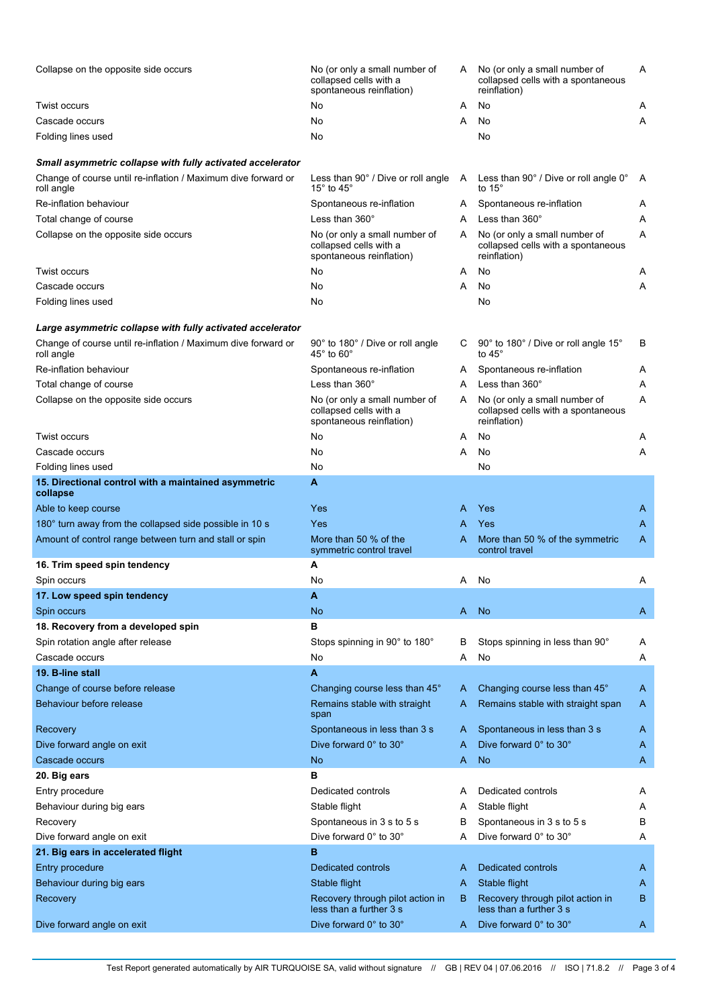| Collapse on the opposite side occurs                                        | No (or only a small number of<br>collapsed cells with a<br>spontaneous reinflation) | A   | No (or only a small number of<br>collapsed cells with a spontaneous<br>reinflation) | Α |
|-----------------------------------------------------------------------------|-------------------------------------------------------------------------------------|-----|-------------------------------------------------------------------------------------|---|
| <b>Twist occurs</b>                                                         | No                                                                                  | A   | No                                                                                  | Α |
| Cascade occurs                                                              | No                                                                                  | A   | No                                                                                  | Α |
| Folding lines used                                                          | No                                                                                  |     | No                                                                                  |   |
| Small asymmetric collapse with fully activated accelerator                  |                                                                                     |     |                                                                                     |   |
| Change of course until re-inflation / Maximum dive forward or<br>roll angle | Less than 90° / Dive or roll angle<br>15 $^{\circ}$ to 45 $^{\circ}$                | - A | Less than 90 $^{\circ}$ / Dive or roll angle 0 $^{\circ}$<br>to 15 $^{\circ}$       | Α |
| Re-inflation behaviour                                                      | Spontaneous re-inflation                                                            | A   | Spontaneous re-inflation                                                            | Α |
| Total change of course                                                      | Less than $360^\circ$                                                               | A   | Less than 360°                                                                      | Α |
| Collapse on the opposite side occurs                                        | No (or only a small number of<br>collapsed cells with a<br>spontaneous reinflation) | A   | No (or only a small number of<br>collapsed cells with a spontaneous<br>reinflation) | Α |
| <b>Twist occurs</b>                                                         | No                                                                                  | A   | No                                                                                  | Α |
| Cascade occurs                                                              | No                                                                                  | A   | No                                                                                  | Α |
| Folding lines used                                                          | No                                                                                  |     | No                                                                                  |   |
| Large asymmetric collapse with fully activated accelerator                  |                                                                                     |     |                                                                                     |   |
| Change of course until re-inflation / Maximum dive forward or               | 90° to 180° / Dive or roll angle                                                    | C   | 90° to 180° / Dive or roll angle 15°                                                | в |
| roll angle                                                                  | 45° to 60°                                                                          |     | to $45^\circ$                                                                       |   |
| Re-inflation behaviour                                                      | Spontaneous re-inflation                                                            | A   | Spontaneous re-inflation                                                            | A |
| Total change of course                                                      | Less than $360^\circ$                                                               | A   | Less than 360°                                                                      | Α |
| Collapse on the opposite side occurs                                        | No (or only a small number of<br>collapsed cells with a<br>spontaneous reinflation) | A   | No (or only a small number of<br>collapsed cells with a spontaneous<br>reinflation) | Α |
| <b>Twist occurs</b>                                                         | No                                                                                  | A   | No                                                                                  | Α |
| Cascade occurs                                                              | No                                                                                  | A   | No                                                                                  | Α |
| Folding lines used                                                          | No                                                                                  |     | No                                                                                  |   |
| 15. Directional control with a maintained asymmetric<br>collapse            | A                                                                                   |     |                                                                                     |   |
| Able to keep course                                                         | Yes                                                                                 | A   | <b>Yes</b>                                                                          | A |
| 180° turn away from the collapsed side possible in 10 s                     | Yes                                                                                 | A   | Yes                                                                                 | A |
| Amount of control range between turn and stall or spin                      | More than 50 % of the<br>symmetric control travel                                   | A   | More than 50 % of the symmetric<br>control travel                                   | Α |
| 16. Trim speed spin tendency                                                | Α                                                                                   |     |                                                                                     |   |
| Spin occurs                                                                 | No                                                                                  | A   | No                                                                                  | Α |
| 17. Low speed spin tendency                                                 | А                                                                                   |     |                                                                                     |   |
| Spin occurs                                                                 | No                                                                                  | A   | No                                                                                  | A |
| 18. Recovery from a developed spin                                          | в                                                                                   |     |                                                                                     |   |
| Spin rotation angle after release                                           | Stops spinning in 90° to 180°                                                       | B   | Stops spinning in less than 90°                                                     | Α |
| Cascade occurs                                                              | No                                                                                  | Α   | No                                                                                  | Α |
| 19. B-line stall                                                            | A                                                                                   |     |                                                                                     |   |
| Change of course before release                                             | Changing course less than 45°                                                       | A   | Changing course less than 45°                                                       | A |
| Behaviour before release                                                    | Remains stable with straight<br>span                                                | A   | Remains stable with straight span                                                   | A |
| Recovery                                                                    | Spontaneous in less than 3 s                                                        | A   | Spontaneous in less than 3 s                                                        | Α |
| Dive forward angle on exit                                                  | Dive forward 0° to 30°                                                              | A   | Dive forward 0° to 30°                                                              | A |
| Cascade occurs                                                              | <b>No</b>                                                                           | A   | <b>No</b>                                                                           | A |
| 20. Big ears                                                                | в                                                                                   |     |                                                                                     |   |
| Entry procedure                                                             | Dedicated controls                                                                  | A   | Dedicated controls                                                                  | Α |
| Behaviour during big ears                                                   | Stable flight                                                                       | A   | Stable flight                                                                       | Α |
| Recovery                                                                    | Spontaneous in 3 s to 5 s                                                           | В   | Spontaneous in 3 s to 5 s                                                           | В |
| Dive forward angle on exit                                                  | Dive forward 0° to 30°                                                              | A   | Dive forward 0° to 30°                                                              | Α |
| 21. Big ears in accelerated flight                                          | в                                                                                   |     |                                                                                     |   |
| Entry procedure                                                             | Dedicated controls                                                                  | A   | Dedicated controls                                                                  | A |
| Behaviour during big ears                                                   | Stable flight                                                                       | A   | Stable flight                                                                       | A |
| Recovery                                                                    | Recovery through pilot action in<br>less than a further 3 s                         | B   | Recovery through pilot action in<br>less than a further 3 s                         | B |
| Dive forward angle on exit                                                  | Dive forward 0° to 30°                                                              | A.  | Dive forward 0° to 30°                                                              | A |